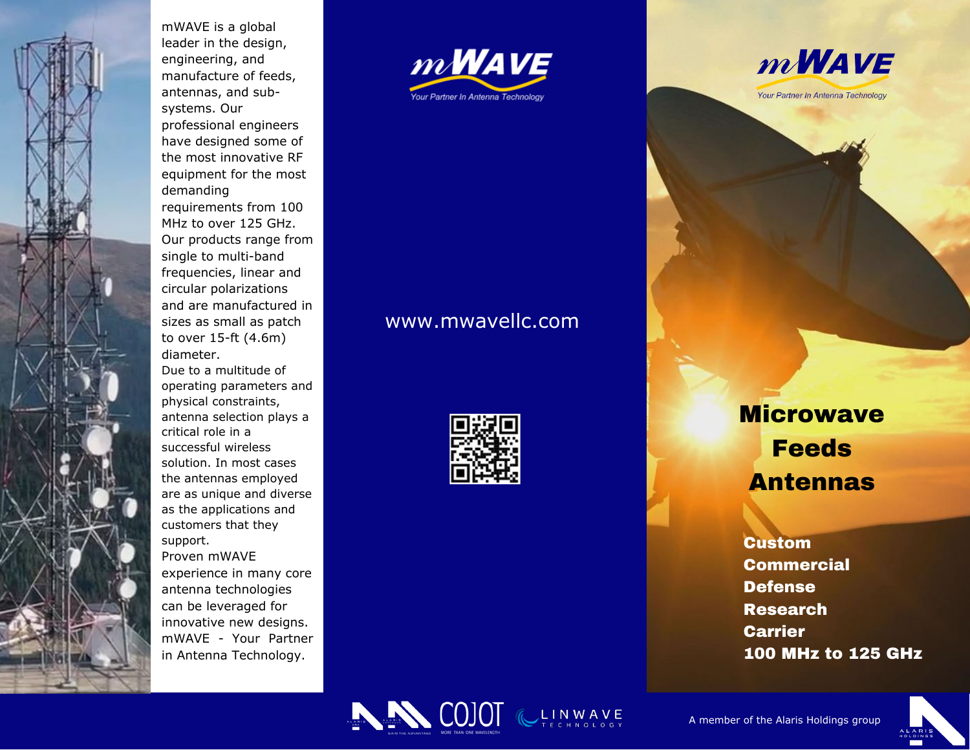

mWAVE is a global leader in the desig n , engineering, and manufacture of feeds, antennas, and subsystems. Our professional engineers have designed some of the most innovative RF equipment for the most demanding requirements from 100 MHz to over 125 GHz. Our products range from sin gle t o m ulti-b a n d frequencies, linear and circular polarizations and are manufactured in sizes as small as patch to over 15-ft (4.6m) diameter. Due to a multitude of operating parameters and physical constraints, antenna selection plays a c ritic al r ole in a successful wireless solution. In most cases the antennas employed are as unique and diverse

as the applications and customers that they support.

Proven mWAVE experience in many core antenna technologies can be leveraged for innovative new designs. mWAVE - Your Partne r in Antenna Technology.





## www.mwavellc.com



Microwave<br>
Feeds<br>
Antennas<br>
Custom<br>
Commercial<br>
Defense<br>
Research<br>
Carrier<br>
100 MHz to 125 (<br>
A member of the Alaris Holdings group **GHz**